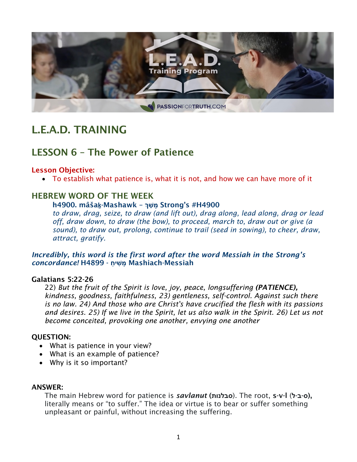

# L.E.A.D. TRAINING

# LESSON 6 – The Power of Patience

## Lesson Objective:

• To establish what patience is, what it is not, and how we can have more of it

## HEBREW WORD OF THE WEEK

#### h4900. mâša**ḵ**-Mashawk – **%שַׁ מָ** Strong's #H4900

*to draw, drag, seize, to draw (and lift out), drag along, lead along, drag or lead off, draw down, to draw (the bow), to proceed, march to, draw out or give (a sound), to draw out, prolong, continue to trail (seed in sowing), to cheer, draw, attract, gratify.*

#### *Incredibly, this word is the first word after the word Messiah in the Strong's concordance!* H4899 - **חַ שׁיִ מָ** Mashiach-Messiah

#### Galatians 5:22-26

22) *But the fruit of the Spirit is love, joy, peace, longsuffering (PATIENCE), kindness, goodness, faithfulness, 23) gentleness, self-control. Against such there is no law. 24) And those who are Christ's have crucified the flesh with its passions and desires. 25) If we live in the Spirit, let us also walk in the Spirit. 26) Let us not become conceited, provoking one another, envying one another*

#### QUESTION:

- What is patience in your view?
- What is an example of patience?
- Why is it so important?

#### ANSWER:

The main Hebrew word for patience is *savlanut* ( **תונלבס**( . The root, s-v-l (**ל**-**ב**-**ס**(, literally means or "to suffer." The idea or virtue is to bear or suffer something unpleasant or painful, without increasing the suffering.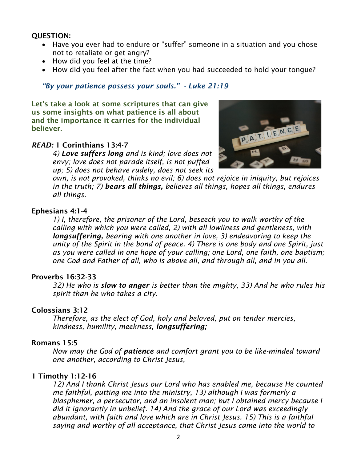## QUESTION:

- Have you ever had to endure or "suffer" someone in a situation and you chose not to retaliate or get angry?
- How did you feel at the time?
- How did you feel after the fact when you had succeeded to hold your tongue?

## *"By your patience possess your souls." - Luke 21:19*

Let's take a look at some scriptures that can give us some insights on what patience is all about and the importance it carries for the individual believer.

#### *READ:* 1 Corinthians 13:4-7

*4) Love suffers long and is kind; love does not envy; love does not parade itself, is not puffed up; 5) does not behave rudely, does not seek its* 



*own, is not provoked, thinks no evil; 6) does not rejoice in iniquity, but rejoices in the truth; 7) bears all things, believes all things, hopes all things, endures all things.*

#### Ephesians 4:1-4

*1) I, therefore, the prisoner of the Lord, beseech you to walk worthy of the calling with which you were called, 2) with all lowliness and gentleness, with longsuffering, bearing with one another in love, 3) endeavoring to keep the unity of the Spirit in the bond of peace. 4) There is one body and one Spirit, just as you were called in one hope of your calling; one Lord, one faith, one baptism; one God and Father of all, who is above all, and through all, and in you all.*

#### Proverbs 16:32-33

*32) He who is slow to anger is better than the mighty, 33) And he who rules his spirit than he who takes a city.*

#### Colossians 3:12

*Therefore, as the elect of God, holy and beloved, put on tender mercies, kindness, humility, meekness, longsuffering;*

#### Romans 15:5

*Now may the God of patience and comfort grant you to be like-minded toward one another, according to Christ Jesus,*

#### 1 Timothy 1:12-16

*12) And I thank Christ Jesus our Lord who has enabled me, because He counted me faithful, putting me into the ministry, 13) although I was formerly a blasphemer, a persecutor, and an insolent man; but I obtained mercy because I did it ignorantly in unbelief. 14) And the grace of our Lord was exceedingly abundant, with faith and love which are in Christ Jesus. 15) This is a faithful saying and worthy of all acceptance, that Christ Jesus came into the world to*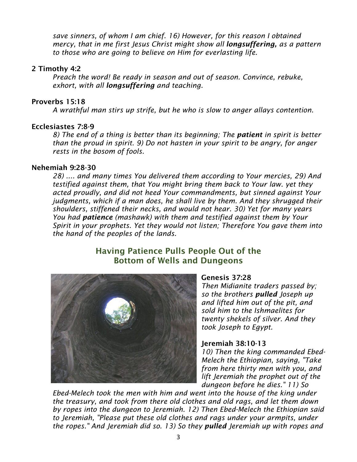*save sinners, of whom I am chief. 16) However, for this reason I obtained mercy, that in me first Jesus Christ might show all longsuffering, as a pattern to those who are going to believe on Him for everlasting life.*

#### 2 Timothy 4:2

*Preach the word! Be ready in season and out of season. Convince, rebuke, exhort, with all longsuffering and teaching.*

#### Proverbs 15:18

*A wrathful man stirs up strife, but he who is slow to anger allays contention.*

#### Ecclesiastes 7:8-9

*8) The end of a thing is better than its beginning; The patient in spirit is better than the proud in spirit. 9) Do not hasten in your spirit to be angry, for anger rests in the bosom of fools.*

#### Nehemiah 9:28-30

*28) .... and many times You delivered them according to Your mercies, 29) And testified against them, that You might bring them back to Your law. yet they acted proudly, and did not heed Your commandments, but sinned against Your judgments, which if a man does, he shall live by them. And they shrugged their shoulders, stiffened their necks, and would not hear. 30) Yet for many years You had patience (mashawk) with them and testified against them by Your Spirit in your prophets. Yet they would not listen; Therefore You gave them into the hand of the peoples of the lands.*

# Having Patience Pulls People Out of the Bottom of Wells and Dungeons



#### Genesis 37:28

*Then Midianite traders passed by; so the brothers pulled Joseph up and lifted him out of the pit, and sold him to the Ishmaelites for twenty shekels of silver. And they took Joseph to Egypt.*

#### Jeremiah 38:10-13

*10) Then the king commanded Ebed-Melech the Ethiopian, saying, "Take from here thirty men with you, and lift Jeremiah the prophet out of the dungeon before he dies." 11) So* 

*Ebed-Melech took the men with him and went into the house of the king under the treasury, and took from there old clothes and old rags, and let them down by ropes into the dungeon to Jeremiah. 12) Then Ebed-Melech the Ethiopian said to Jeremiah, "Please put these old clothes and rags under your armpits, under the ropes." And Jeremiah did so. 13) So they pulled Jeremiah up with ropes and*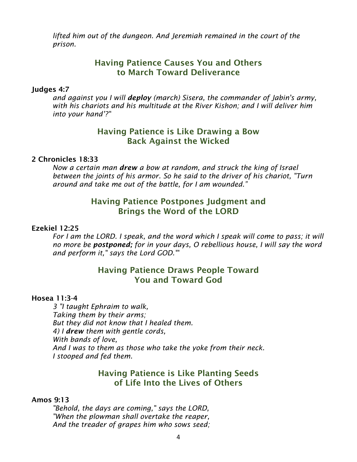*lifted him out of the dungeon. And Jeremiah remained in the court of the prison.*

# Having Patience Causes You and Others to March Toward Deliverance

#### Judges 4:7

*and against you I will deploy (march) Sisera, the commander of Jabin's army, with his chariots and his multitude at the River Kishon; and I will deliver him into your hand'?"*

## Having Patience is Like Drawing a Bow Back Against the Wicked

#### 2 Chronicles 18:33

*Now a certain man drew a bow at random, and struck the king of Israel between the joints of his armor. So he said to the driver of his chariot, "Turn around and take me out of the battle, for I am wounded."*

## Having Patience Postpones Judgment and Brings the Word of the LORD

#### Ezekiel 12:25

*For I am the LORD. I speak, and the word which I speak will come to pass; it will no more be postponed; for in your days, O rebellious house, I will say the word and perform it," says the Lord GOD.'"*

# Having Patience Draws People Toward You and Toward God

#### Hosea 11:3-4

*3 "I taught Ephraim to walk, Taking them by their arms; But they did not know that I healed them. 4) I drew them with gentle cords, With bands of love, And I was to them as those who take the yoke from their neck. I stooped and fed them.*

# Having Patience is Like Planting Seeds of Life Into the Lives of Others

#### Amos 9:13

*"Behold, the days are coming," says the LORD, "When the plowman shall overtake the reaper, And the treader of grapes him who sows seed;*